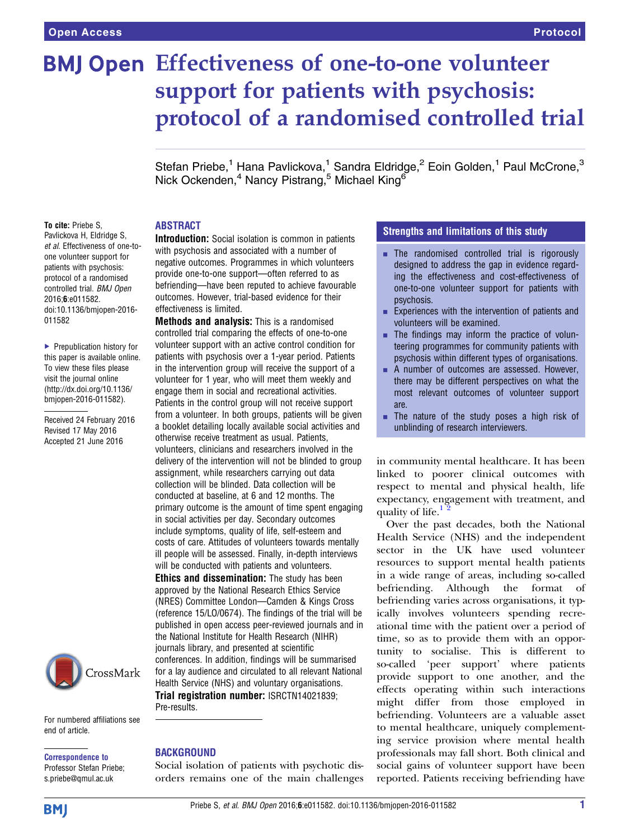# **BMJ Open Effectiveness of one-to-one volunteer** support for patients with psychosis: protocol of a randomised controlled trial

Stefan Priebe,<sup>1</sup> Hana Pavlickova,<sup>1</sup> Sandra Eldridge,<sup>2</sup> Eoin Golden,<sup>1</sup> Paul McCrone,<sup>3</sup> Nick Ockenden,<sup>4</sup> Nancy Pistrang,<sup>5</sup> Michael King<sup>6</sup>

# ABSTRACT

To cite: Priebe S, Pavlickova H, Eldridge S, et al. Effectiveness of one-toone volunteer support for patients with psychosis: protocol of a randomised controlled trial. BMJ Open 2016;6:e011582. doi:10.1136/bmjopen-2016- 011582

▶ Prepublication history for this paper is available online. To view these files please visit the journal online [\(http://dx.doi.org/10.1136/](http://dx.doi.org/10.1136/bmjopen-2016-011582) [bmjopen-2016-011582](http://dx.doi.org/10.1136/bmjopen-2016-011582)).

Received 24 February 2016 Revised 17 May 2016 Accepted 21 June 2016



For numbered affiliations see end of article.

Correspondence to Professor Stefan Priebe; s.priebe@qmul.ac.uk

Introduction: Social isolation is common in patients with psychosis and associated with a number of negative outcomes. Programmes in which volunteers provide one-to-one support—often referred to as befriending—have been reputed to achieve favourable outcomes. However, trial-based evidence for their effectiveness is limited.

Methods and analysis: This is a randomised controlled trial comparing the effects of one-to-one volunteer support with an active control condition for patients with psychosis over a 1-year period. Patients in the intervention group will receive the support of a volunteer for 1 year, who will meet them weekly and engage them in social and recreational activities. Patients in the control group will not receive support from a volunteer. In both groups, patients will be given a booklet detailing locally available social activities and otherwise receive treatment as usual. Patients, volunteers, clinicians and researchers involved in the delivery of the intervention will not be blinded to group assignment, while researchers carrying out data collection will be blinded. Data collection will be conducted at baseline, at 6 and 12 months. The primary outcome is the amount of time spent engaging in social activities per day. Secondary outcomes include symptoms, quality of life, self-esteem and costs of care. Attitudes of volunteers towards mentally ill people will be assessed. Finally, in-depth interviews will be conducted with patients and volunteers. **Ethics and dissemination:** The study has been approved by the National Research Ethics Service (NRES) Committee London—Camden & Kings Cross (reference 15/LO/0674). The findings of the trial will be published in open access peer-reviewed journals and in the National Institute for Health Research (NIHR) journals library, and presented at scientific conferences. In addition, findings will be summarised for a lay audience and circulated to all relevant National Health Service (NHS) and voluntary organisations. Trial registration number: ISRCTN14021839; Pre-results.

# BACKGROUND

Social isolation of patients with psychotic disorders remains one of the main challenges

# Strengths and limitations of this study

- $\blacksquare$  The randomised controlled trial is rigorously designed to address the gap in evidence regarding the effectiveness and cost-effectiveness of one-to-one volunteer support for patients with psychosis.
- $\blacksquare$  Experiences with the intervention of patients and volunteers will be examined.
- The findings may inform the practice of volunteering programmes for community patients with psychosis within different types of organisations.
- A number of outcomes are assessed. However, there may be different perspectives on what the most relevant outcomes of volunteer support are.
- $\blacksquare$  The nature of the study poses a high risk of unblinding of research interviewers.

in community mental healthcare. It has been linked to poorer clinical outcomes with respect to mental and physical health, life expectancy, engagement with treatment, and quality of life. $1<sup>12</sup>$ 

Over the past decades, both the National Health Service (NHS) and the independent sector in the UK have used volunteer resources to support mental health patients in a wide range of areas, including so-called befriending. Although the format of befriending varies across organisations, it typically involves volunteers spending recreational time with the patient over a period of time, so as to provide them with an opportunity to socialise. This is different to so-called 'peer support' where patients provide support to one another, and the effects operating within such interactions might differ from those employed in befriending. Volunteers are a valuable asset to mental healthcare, uniquely complementing service provision where mental health professionals may fall short. Both clinical and social gains of volunteer support have been reported. Patients receiving befriending have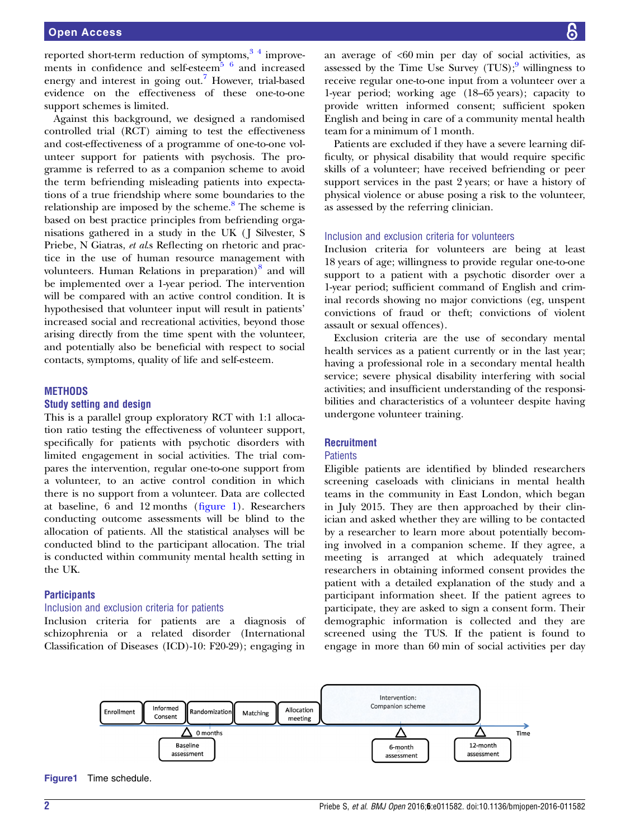reported short-term reduction of symptoms, $3<sup>4</sup>$  improvements in confidence and self-esteem<sup>5  $6$ </sup> and increased energy and interest in going out.<sup>[7](#page-6-0)</sup> However, trial-based evidence on the effectiveness of these one-to-one support schemes is limited.

Against this background, we designed a randomised controlled trial (RCT) aiming to test the effectiveness and cost-effectiveness of a programme of one-to-one volunteer support for patients with psychosis. The programme is referred to as a companion scheme to avoid the term befriending misleading patients into expectations of a true friendship where some boundaries to the relationship are imposed by the scheme. $8$  The scheme is based on best practice principles from befriending organisations gathered in a study in the UK ( J Silvester, S Priebe, N Giatras, et als Reflecting on rhetoric and practice in the use of human resource management with volunteers. Human Relations in preparation) $\delta$  and will be implemented over a 1-year period. The intervention will be compared with an active control condition. It is hypothesised that volunteer input will result in patients' increased social and recreational activities, beyond those arising directly from the time spent with the volunteer, and potentially also be beneficial with respect to social contacts, symptoms, quality of life and self-esteem.

# **METHODS**

# Study setting and design

This is a parallel group exploratory RCT with 1:1 allocation ratio testing the effectiveness of volunteer support, specifically for patients with psychotic disorders with limited engagement in social activities. The trial compares the intervention, regular one-to-one support from a volunteer, to an active control condition in which there is no support from a volunteer. Data are collected at baseline, 6 and 12 months (figure 1). Researchers conducting outcome assessments will be blind to the allocation of patients. All the statistical analyses will be conducted blind to the participant allocation. The trial is conducted within community mental health setting in the UK.

#### **Participants**

#### Inclusion and exclusion criteria for patients

Inclusion criteria for patients are a diagnosis of schizophrenia or a related disorder (International Classification of Diseases (ICD)-10: F20-29); engaging in an average of <60 min per day of social activities, as assessed by the Time Use Survey  $(TUS)$ ; willingness to receive regular one-to-one input from a volunteer over a 1-year period; working age (18–65 years); capacity to provide written informed consent; sufficient spoken English and being in care of a community mental health team for a minimum of 1 month.

Patients are excluded if they have a severe learning difficulty, or physical disability that would require specific skills of a volunteer; have received befriending or peer support services in the past 2 years; or have a history of physical violence or abuse posing a risk to the volunteer, as assessed by the referring clinician.

# Inclusion and exclusion criteria for volunteers

Inclusion criteria for volunteers are being at least 18 years of age; willingness to provide regular one-to-one support to a patient with a psychotic disorder over a 1-year period; sufficient command of English and criminal records showing no major convictions (eg, unspent convictions of fraud or theft; convictions of violent assault or sexual offences).

Exclusion criteria are the use of secondary mental health services as a patient currently or in the last year; having a professional role in a secondary mental health service; severe physical disability interfering with social activities; and insufficient understanding of the responsibilities and characteristics of a volunteer despite having undergone volunteer training.

# **Recruitment**

### **Patients**

Eligible patients are identified by blinded researchers screening caseloads with clinicians in mental health teams in the community in East London, which began in July 2015. They are then approached by their clinician and asked whether they are willing to be contacted by a researcher to learn more about potentially becoming involved in a companion scheme. If they agree, a meeting is arranged at which adequately trained researchers in obtaining informed consent provides the patient with a detailed explanation of the study and a participant information sheet. If the patient agrees to participate, they are asked to sign a consent form. Their demographic information is collected and they are screened using the TUS. If the patient is found to engage in more than 60 min of social activities per day



Figure1 Time schedule.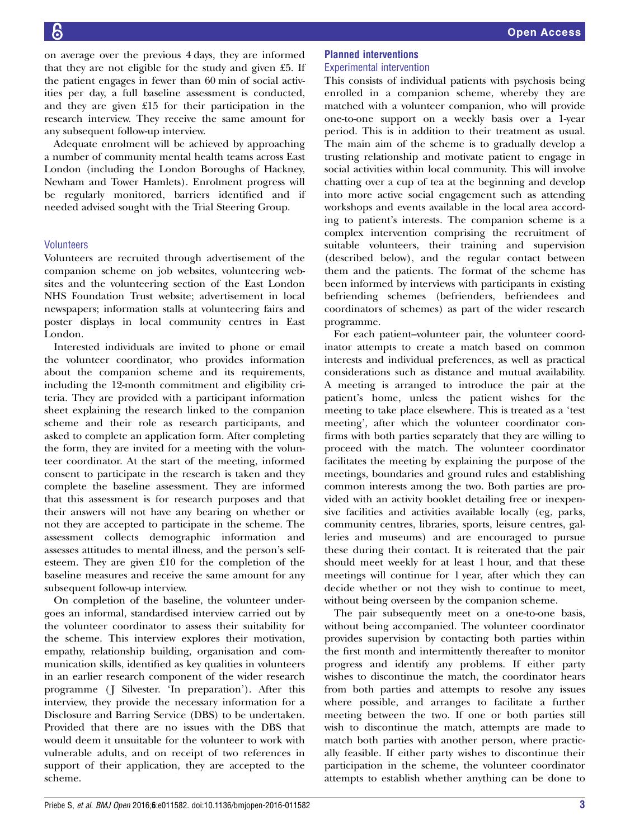on average over the previous 4 days, they are informed that they are not eligible for the study and given £5. If the patient engages in fewer than 60 min of social activities per day, a full baseline assessment is conducted, and they are given £15 for their participation in the research interview. They receive the same amount for any subsequent follow-up interview.

Adequate enrolment will be achieved by approaching a number of community mental health teams across East London (including the London Boroughs of Hackney, Newham and Tower Hamlets). Enrolment progress will be regularly monitored, barriers identified and if needed advised sought with the Trial Steering Group.

# Volunteers

Volunteers are recruited through advertisement of the companion scheme on job websites, volunteering websites and the volunteering section of the East London NHS Foundation Trust website; advertisement in local newspapers; information stalls at volunteering fairs and poster displays in local community centres in East London.

Interested individuals are invited to phone or email the volunteer coordinator, who provides information about the companion scheme and its requirements, including the 12-month commitment and eligibility criteria. They are provided with a participant information sheet explaining the research linked to the companion scheme and their role as research participants, and asked to complete an application form. After completing the form, they are invited for a meeting with the volunteer coordinator. At the start of the meeting, informed consent to participate in the research is taken and they complete the baseline assessment. They are informed that this assessment is for research purposes and that their answers will not have any bearing on whether or not they are accepted to participate in the scheme. The assessment collects demographic information and assesses attitudes to mental illness, and the person's selfesteem. They are given £10 for the completion of the baseline measures and receive the same amount for any subsequent follow-up interview.

On completion of the baseline, the volunteer undergoes an informal, standardised interview carried out by the volunteer coordinator to assess their suitability for the scheme. This interview explores their motivation, empathy, relationship building, organisation and communication skills, identified as key qualities in volunteers in an earlier research component of the wider research programme (J Silvester. 'In preparation'). After this interview, they provide the necessary information for a Disclosure and Barring Service (DBS) to be undertaken. Provided that there are no issues with the DBS that would deem it unsuitable for the volunteer to work with vulnerable adults, and on receipt of two references in support of their application, they are accepted to the scheme.

# Planned interventions

### Experimental intervention

This consists of individual patients with psychosis being enrolled in a companion scheme, whereby they are matched with a volunteer companion, who will provide one-to-one support on a weekly basis over a 1-year period. This is in addition to their treatment as usual. The main aim of the scheme is to gradually develop a trusting relationship and motivate patient to engage in social activities within local community. This will involve chatting over a cup of tea at the beginning and develop into more active social engagement such as attending workshops and events available in the local area according to patient's interests. The companion scheme is a complex intervention comprising the recruitment of suitable volunteers, their training and supervision (described below), and the regular contact between them and the patients. The format of the scheme has been informed by interviews with participants in existing befriending schemes (befrienders, befriendees and coordinators of schemes) as part of the wider research programme.

For each patient–volunteer pair, the volunteer coordinator attempts to create a match based on common interests and individual preferences, as well as practical considerations such as distance and mutual availability. A meeting is arranged to introduce the pair at the patient's home, unless the patient wishes for the meeting to take place elsewhere. This is treated as a 'test meeting', after which the volunteer coordinator confirms with both parties separately that they are willing to proceed with the match. The volunteer coordinator facilitates the meeting by explaining the purpose of the meetings, boundaries and ground rules and establishing common interests among the two. Both parties are provided with an activity booklet detailing free or inexpensive facilities and activities available locally (eg, parks, community centres, libraries, sports, leisure centres, galleries and museums) and are encouraged to pursue these during their contact. It is reiterated that the pair should meet weekly for at least 1 hour, and that these meetings will continue for 1 year, after which they can decide whether or not they wish to continue to meet, without being overseen by the companion scheme.

The pair subsequently meet on a one-to-one basis, without being accompanied. The volunteer coordinator provides supervision by contacting both parties within the first month and intermittently thereafter to monitor progress and identify any problems. If either party wishes to discontinue the match, the coordinator hears from both parties and attempts to resolve any issues where possible, and arranges to facilitate a further meeting between the two. If one or both parties still wish to discontinue the match, attempts are made to match both parties with another person, where practically feasible. If either party wishes to discontinue their participation in the scheme, the volunteer coordinator attempts to establish whether anything can be done to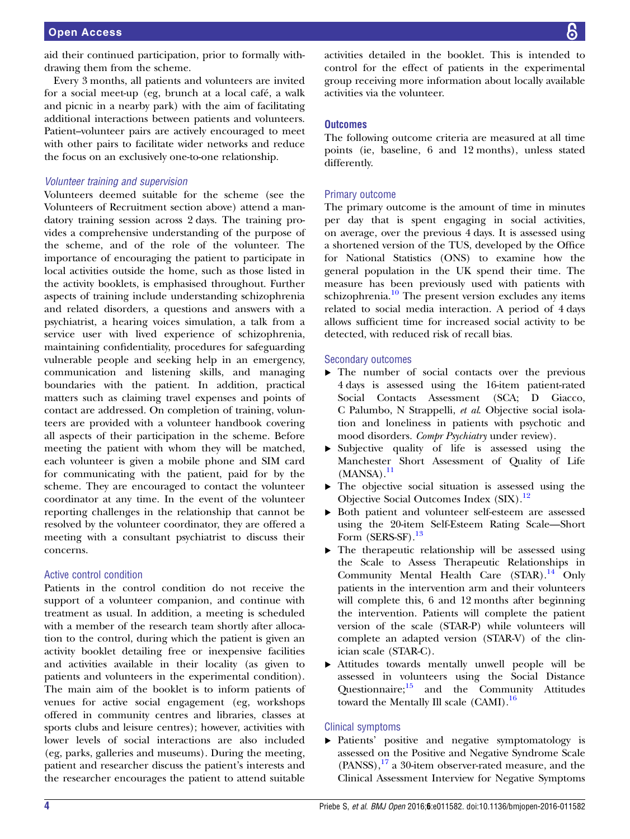aid their continued participation, prior to formally withdrawing them from the scheme.

Every 3 months, all patients and volunteers are invited for a social meet-up (eg, brunch at a local café, a walk and picnic in a nearby park) with the aim of facilitating additional interactions between patients and volunteers. Patient–volunteer pairs are actively encouraged to meet with other pairs to facilitate wider networks and reduce the focus on an exclusively one-to-one relationship.

# Volunteer training and supervision

Volunteers deemed suitable for the scheme (see the Volunteers of Recruitment section above) attend a mandatory training session across 2 days. The training provides a comprehensive understanding of the purpose of the scheme, and of the role of the volunteer. The importance of encouraging the patient to participate in local activities outside the home, such as those listed in the activity booklets, is emphasised throughout. Further aspects of training include understanding schizophrenia and related disorders, a questions and answers with a psychiatrist, a hearing voices simulation, a talk from a service user with lived experience of schizophrenia, maintaining confidentiality, procedures for safeguarding vulnerable people and seeking help in an emergency, communication and listening skills, and managing boundaries with the patient. In addition, practical matters such as claiming travel expenses and points of contact are addressed. On completion of training, volunteers are provided with a volunteer handbook covering all aspects of their participation in the scheme. Before meeting the patient with whom they will be matched, each volunteer is given a mobile phone and SIM card for communicating with the patient, paid for by the scheme. They are encouraged to contact the volunteer coordinator at any time. In the event of the volunteer reporting challenges in the relationship that cannot be resolved by the volunteer coordinator, they are offered a meeting with a consultant psychiatrist to discuss their concerns.

# Active control condition

Patients in the control condition do not receive the support of a volunteer companion, and continue with treatment as usual. In addition, a meeting is scheduled with a member of the research team shortly after allocation to the control, during which the patient is given an activity booklet detailing free or inexpensive facilities and activities available in their locality (as given to patients and volunteers in the experimental condition). The main aim of the booklet is to inform patients of venues for active social engagement (eg, workshops offered in community centres and libraries, classes at sports clubs and leisure centres); however, activities with lower levels of social interactions are also included (eg, parks, galleries and museums). During the meeting, patient and researcher discuss the patient's interests and the researcher encourages the patient to attend suitable

activities detailed in the booklet. This is intended to control for the effect of patients in the experimental group receiving more information about locally available activities via the volunteer.

# **Outcomes**

The following outcome criteria are measured at all time points (ie, baseline, 6 and 12 months), unless stated differently.

# Primary outcome

The primary outcome is the amount of time in minutes per day that is spent engaging in social activities, on average, over the previous 4 days. It is assessed using a shortened version of the TUS, developed by the Office for National Statistics (ONS) to examine how the general population in the UK spend their time. The measure has been previously used with patients with schizophrenia.<sup>[10](#page-6-0)</sup> The present version excludes any items related to social media interaction. A period of 4 days allows sufficient time for increased social activity to be detected, with reduced risk of recall bias.

#### Secondary outcomes

- ▸ The number of social contacts over the previous 4 days is assessed using the 16-item patient-rated Social Contacts Assessment (SCA; D Giacco, C Palumbo, N Strappelli, et al. Objective social isolation and loneliness in patients with psychotic and mood disorders. Compr Psychiatry under review).
- ▸ Subjective quality of life is assessed using the Manchester Short Assessment of Quality of Life  $(MANSA).<sup>11</sup>$  $(MANSA).<sup>11</sup>$  $(MANSA).<sup>11</sup>$
- ▸ The objective social situation is assessed using the Objective Social Outcomes Index (SIX).<sup>[12](#page-6-0)</sup>
- ▸ Both patient and volunteer self-esteem are assessed using the 20-item Self-Esteem Rating Scale—Short Form (SERS-SF).<sup>[13](#page-6-0)</sup>
- ▸ The therapeutic relationship will be assessed using the Scale to Assess Therapeutic Relationships in Community Mental Health Care (STAR).<sup>[14](#page-6-0)</sup> Only patients in the intervention arm and their volunteers will complete this, 6 and 12 months after beginning the intervention. Patients will complete the patient version of the scale (STAR-P) while volunteers will complete an adapted version (STAR-V) of the clinician scale (STAR-C).
- ▸ Attitudes towards mentally unwell people will be assessed in volunteers using the Social Distance Questionnaire; $15$  and the Community Attitudes toward the Mentally Ill scale  $(CAMI).<sup>16</sup>$  $(CAMI).<sup>16</sup>$  $(CAMI).<sup>16</sup>$

#### Clinical symptoms

▸ Patients' positive and negative symptomatology is assessed on the Positive and Negative Syndrome Scale  $(PANSS),<sup>17</sup>$  $(PANSS),<sup>17</sup>$  $(PANSS),<sup>17</sup>$  a 30-item observer-rated measure, and the Clinical Assessment Interview for Negative Symptoms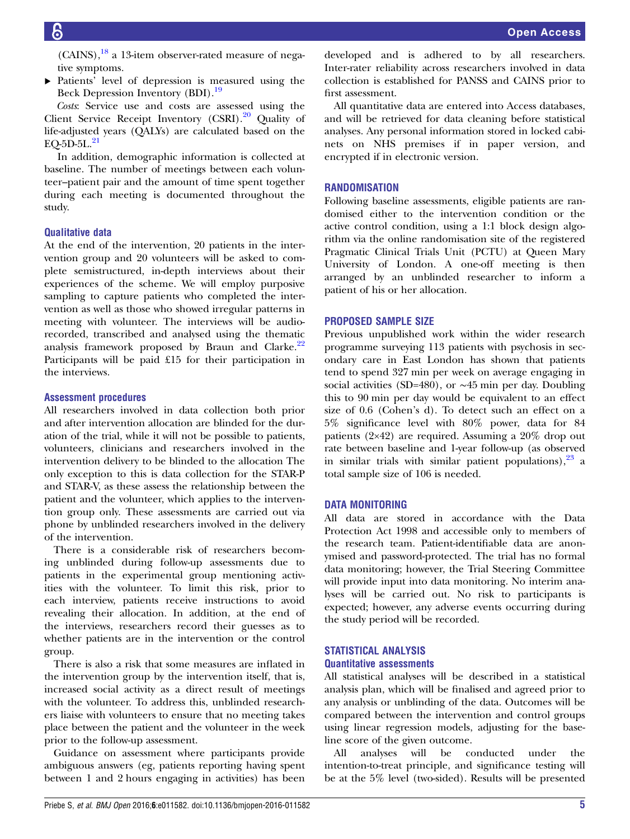$(CAINS)$ ,  $^{18}$  $^{18}$  $^{18}$  a 13-item observer-rated measure of negative symptoms.

▸ Patients' level of depression is measured using the Beck Depression Inventory (BDI).<sup>[19](#page-6-0)</sup>

Costs: Service use and costs are assessed using the Client Service Receipt Inventory (CSRI).<sup>[20](#page-6-0)</sup> Quality of life-adjusted years (QALYs) are calculated based on the  $EO-5D-5L.$ <sup>[21](#page-6-0)</sup>

In addition, demographic information is collected at baseline. The number of meetings between each volunteer–patient pair and the amount of time spent together during each meeting is documented throughout the study.

# Qualitative data

At the end of the intervention, 20 patients in the intervention group and 20 volunteers will be asked to complete semistructured, in-depth interviews about their experiences of the scheme. We will employ purposive sampling to capture patients who completed the intervention as well as those who showed irregular patterns in meeting with volunteer. The interviews will be audiorecorded, transcribed and analysed using the thematic analysis framework proposed by Braun and Clarke.<sup>[22](#page-6-0)</sup> Participants will be paid £15 for their participation in the interviews.

# Assessment procedures

All researchers involved in data collection both prior and after intervention allocation are blinded for the duration of the trial, while it will not be possible to patients, volunteers, clinicians and researchers involved in the intervention delivery to be blinded to the allocation The only exception to this is data collection for the STAR-P and STAR-V, as these assess the relationship between the patient and the volunteer, which applies to the intervention group only. These assessments are carried out via phone by unblinded researchers involved in the delivery of the intervention.

There is a considerable risk of researchers becoming unblinded during follow-up assessments due to patients in the experimental group mentioning activities with the volunteer. To limit this risk, prior to each interview, patients receive instructions to avoid revealing their allocation. In addition, at the end of the interviews, researchers record their guesses as to whether patients are in the intervention or the control group.

There is also a risk that some measures are inflated in the intervention group by the intervention itself, that is, increased social activity as a direct result of meetings with the volunteer. To address this, unblinded researchers liaise with volunteers to ensure that no meeting takes place between the patient and the volunteer in the week prior to the follow-up assessment.

Guidance on assessment where participants provide ambiguous answers (eg, patients reporting having spent between 1 and 2 hours engaging in activities) has been developed and is adhered to by all researchers. Inter-rater reliability across researchers involved in data collection is established for PANSS and CAINS prior to first assessment.

All quantitative data are entered into Access databases, and will be retrieved for data cleaning before statistical analyses. Any personal information stored in locked cabinets on NHS premises if in paper version, and encrypted if in electronic version.

# **RANDOMISATION**

Following baseline assessments, eligible patients are randomised either to the intervention condition or the active control condition, using a 1:1 block design algorithm via the online randomisation site of the registered Pragmatic Clinical Trials Unit (PCTU) at Queen Mary University of London. A one-off meeting is then arranged by an unblinded researcher to inform a patient of his or her allocation.

# PROPOSED SAMPLE SIZE

Previous unpublished work within the wider research programme surveying 113 patients with psychosis in secondary care in East London has shown that patients tend to spend 327 min per week on average engaging in social activities (SD=480), or ∼45 min per day. Doubling this to 90 min per day would be equivalent to an effect size of 0.6 (Cohen's d). To detect such an effect on a 5% significance level with 80% power, data for 84 patients (2×42) are required. Assuming a 20% drop out rate between baseline and 1-year follow-up (as observed in similar trials with similar patient populations),  $23$  a total sample size of 106 is needed.

# DATA MONITORING

All data are stored in accordance with the Data Protection Act 1998 and accessible only to members of the research team. Patient-identifiable data are anonymised and password-protected. The trial has no formal data monitoring; however, the Trial Steering Committee will provide input into data monitoring. No interim analyses will be carried out. No risk to participants is expected; however, any adverse events occurring during the study period will be recorded.

# STATISTICAL ANALYSIS

# Quantitative assessments

All statistical analyses will be described in a statistical analysis plan, which will be finalised and agreed prior to any analysis or unblinding of the data. Outcomes will be compared between the intervention and control groups using linear regression models, adjusting for the baseline score of the given outcome.

All analyses will be conducted under the intention-to-treat principle, and significance testing will be at the 5% level (two-sided). Results will be presented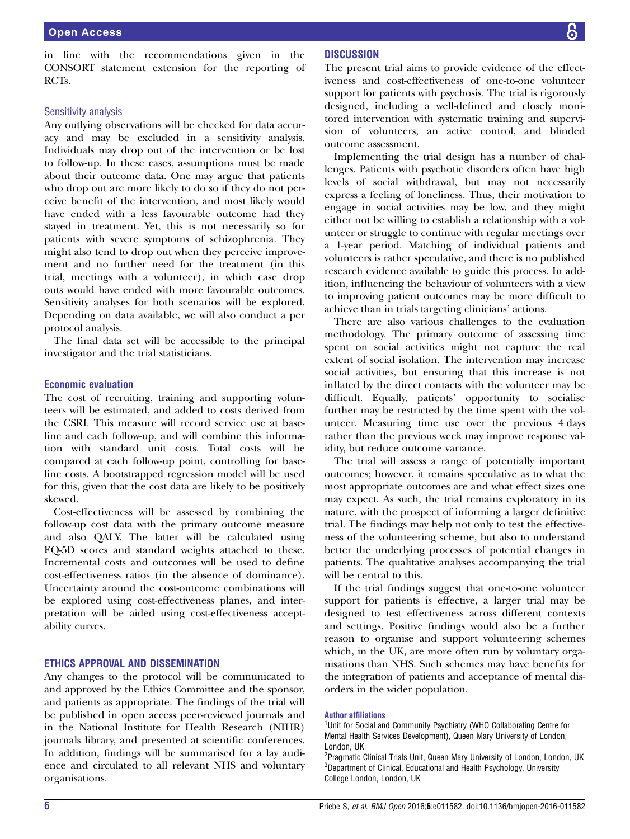in line with the recommendations given in the CONSORT statement extension for the reporting of RCTs.

# Sensitivity analysis

Any outlying observations will be checked for data accuracy and may be excluded in a sensitivity analysis. Individuals may drop out of the intervention or be lost to follow-up. In these cases, assumptions must be made about their outcome data. One may argue that patients who drop out are more likely to do so if they do not perceive benefit of the intervention, and most likely would have ended with a less favourable outcome had they stayed in treatment. Yet, this is not necessarily so for patients with severe symptoms of schizophrenia. They might also tend to drop out when they perceive improvement and no further need for the treatment (in this trial, meetings with a volunteer), in which case drop outs would have ended with more favourable outcomes. Sensitivity analyses for both scenarios will be explored. Depending on data available, we will also conduct a per protocol analysis.

The final data set will be accessible to the principal investigator and the trial statisticians.

#### Economic evaluation

The cost of recruiting, training and supporting volunteers will be estimated, and added to costs derived from the CSRI. This measure will record service use at baseline and each follow-up, and will combine this information with standard unit costs. Total costs will be compared at each follow-up point, controlling for baseline costs. A bootstrapped regression model will be used for this, given that the cost data are likely to be positively skewed.

Cost-effectiveness will be assessed by combining the follow-up cost data with the primary outcome measure and also QALY. The latter will be calculated using EQ-5D scores and standard weights attached to these. Incremental costs and outcomes will be used to define cost-effectiveness ratios (in the absence of dominance). Uncertainty around the cost-outcome combinations will be explored using cost-effectiveness planes, and interpretation will be aided using cost-effectiveness acceptability curves.

# ETHICS APPROVAL AND DISSEMINATION

Any changes to the protocol will be communicated to and approved by the Ethics Committee and the sponsor, and patients as appropriate. The findings of the trial will be published in open access peer-reviewed journals and in the National Institute for Health Research (NIHR) journals library, and presented at scientific conferences. In addition, findings will be summarised for a lay audience and circulated to all relevant NHS and voluntary organisations.

# **DISCUSSION**

The present trial aims to provide evidence of the effectiveness and cost-effectiveness of one-to-one volunteer support for patients with psychosis. The trial is rigorously designed, including a well-defined and closely monitored intervention with systematic training and supervision of volunteers, an active control, and blinded outcome assessment.

Implementing the trial design has a number of challenges. Patients with psychotic disorders often have high levels of social withdrawal, but may not necessarily express a feeling of loneliness. Thus, their motivation to engage in social activities may be low, and they might either not be willing to establish a relationship with a volunteer or struggle to continue with regular meetings over a 1-year period. Matching of individual patients and volunteers is rather speculative, and there is no published research evidence available to guide this process. In addition, influencing the behaviour of volunteers with a view to improving patient outcomes may be more difficult to achieve than in trials targeting clinicians' actions.

There are also various challenges to the evaluation methodology. The primary outcome of assessing time spent on social activities might not capture the real extent of social isolation. The intervention may increase social activities, but ensuring that this increase is not inflated by the direct contacts with the volunteer may be difficult. Equally, patients' opportunity to socialise further may be restricted by the time spent with the volunteer. Measuring time use over the previous 4 days rather than the previous week may improve response validity, but reduce outcome variance.

The trial will assess a range of potentially important outcomes; however, it remains speculative as to what the most appropriate outcomes are and what effect sizes one may expect. As such, the trial remains exploratory in its nature, with the prospect of informing a larger definitive trial. The findings may help not only to test the effectiveness of the volunteering scheme, but also to understand better the underlying processes of potential changes in patients. The qualitative analyses accompanying the trial will be central to this.

If the trial findings suggest that one-to-one volunteer support for patients is effective, a larger trial may be designed to test effectiveness across different contexts and settings. Positive findings would also be a further reason to organise and support volunteering schemes which, in the UK, are more often run by voluntary organisations than NHS. Such schemes may have benefits for the integration of patients and acceptance of mental disorders in the wider population.

#### Author affiliations

<sup>1</sup>Unit for Social and Community Psychiatry (WHO Collaborating Centre for Mental Health Services Development), Queen Mary University of London, London, UK

<sup>2</sup>Pragmatic Clinical Trials Unit, Queen Mary University of London, London, UK <sup>3</sup>Department of Clinical, Educational and Health Psychology, University College London, London, UK